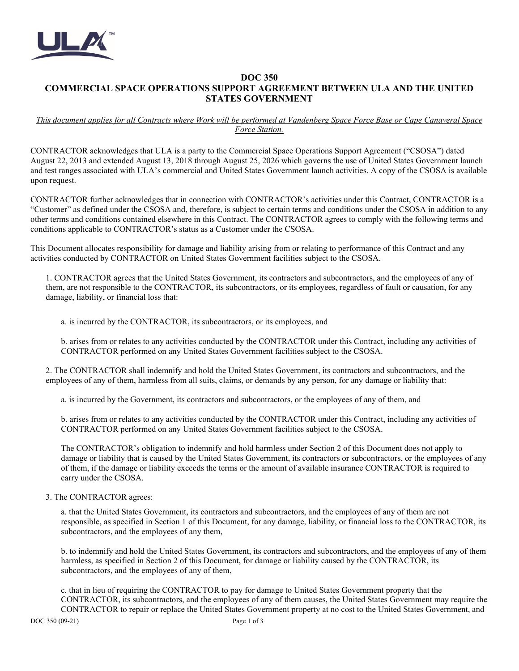

## **DOC 350 COMMERCIAL SPACE OPERATIONS SUPPORT AGREEMENT BETWEEN ULA AND THE UNITED STATES GOVERNMENT**

## *This document applies for all Contracts where Work will be performed at Vandenberg Space Force Base or Cape Canaveral Space Force Station.*

CONTRACTOR acknowledges that ULA is a party to the Commercial Space Operations Support Agreement ("CSOSA") dated August 22, 2013 and extended August 13, 2018 through August 25, 2026 which governs the use of United States Government launch and test ranges associated with ULA's commercial and United States Government launch activities. A copy of the CSOSA is available upon request.

CONTRACTOR further acknowledges that in connection with CONTRACTOR's activities under this Contract, CONTRACTOR is a "Customer" as defined under the CSOSA and, therefore, is subject to certain terms and conditions under the CSOSA in addition to any other terms and conditions contained elsewhere in this Contract. The CONTRACTOR agrees to comply with the following terms and conditions applicable to CONTRACTOR's status as a Customer under the CSOSA.

This Document allocates responsibility for damage and liability arising from or relating to performance of this Contract and any activities conducted by CONTRACTOR on United States Government facilities subject to the CSOSA.

1. CONTRACTOR agrees that the United States Government, its contractors and subcontractors, and the employees of any of them, are not responsible to the CONTRACTOR, its subcontractors, or its employees, regardless of fault or causation, for any damage, liability, or financial loss that:

a. is incurred by the CONTRACTOR, its subcontractors, or its employees, and

b. arises from or relates to any activities conducted by the CONTRACTOR under this Contract, including any activities of CONTRACTOR performed on any United States Government facilities subject to the CSOSA.

2. The CONTRACTOR shall indemnify and hold the United States Government, its contractors and subcontractors, and the employees of any of them, harmless from all suits, claims, or demands by any person, for any damage or liability that:

a. is incurred by the Government, its contractors and subcontractors, or the employees of any of them, and

b. arises from or relates to any activities conducted by the CONTRACTOR under this Contract, including any activities of CONTRACTOR performed on any United States Government facilities subject to the CSOSA.

The CONTRACTOR's obligation to indemnify and hold harmless under Section 2 of this Document does not apply to damage or liability that is caused by the United States Government, its contractors or subcontractors, or the employees of any of them, if the damage or liability exceeds the terms or the amount of available insurance CONTRACTOR is required to carry under the CSOSA.

## 3. The CONTRACTOR agrees:

a. that the United States Government, its contractors and subcontractors, and the employees of any of them are not responsible, as specified in Section 1 of this Document, for any damage, liability, or financial loss to the CONTRACTOR, its subcontractors, and the employees of any them,

b. to indemnify and hold the United States Government, its contractors and subcontractors, and the employees of any of them harmless, as specified in Section 2 of this Document, for damage or liability caused by the CONTRACTOR, its subcontractors, and the employees of any of them,

c. that in lieu of requiring the CONTRACTOR to pay for damage to United States Government property that the CONTRACTOR, its subcontractors, and the employees of any of them causes, the United States Government may require the CONTRACTOR to repair or replace the United States Government property at no cost to the United States Government, and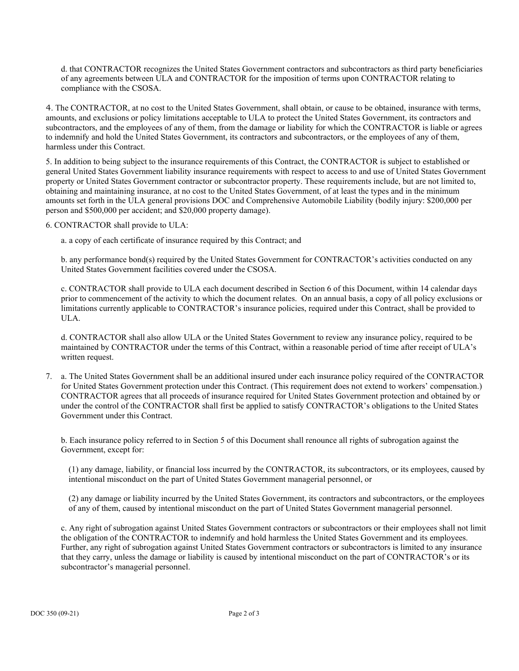d. that CONTRACTOR recognizes the United States Government contractors and subcontractors as third party beneficiaries of any agreements between ULA and CONTRACTOR for the imposition of terms upon CONTRACTOR relating to compliance with the CSOSA.

4. The CONTRACTOR, at no cost to the United States Government, shall obtain, or cause to be obtained, insurance with terms, amounts, and exclusions or policy limitations acceptable to ULA to protect the United States Government, its contractors and subcontractors, and the employees of any of them, from the damage or liability for which the CONTRACTOR is liable or agrees to indemnify and hold the United States Government, its contractors and subcontractors, or the employees of any of them, harmless under this Contract.

5. In addition to being subject to the insurance requirements of this Contract, the CONTRACTOR is subject to established or general United States Government liability insurance requirements with respect to access to and use of United States Government property or United States Government contractor or subcontractor property. These requirements include, but are not limited to, obtaining and maintaining insurance, at no cost to the United States Government, of at least the types and in the minimum amounts set forth in the ULA general provisions DOC and Comprehensive Automobile Liability (bodily injury: \$200,000 per person and \$500,000 per accident; and \$20,000 property damage).

6. CONTRACTOR shall provide to ULA:

a. a copy of each certificate of insurance required by this Contract; and

b. any performance bond(s) required by the United States Government for CONTRACTOR's activities conducted on any United States Government facilities covered under the CSOSA.

c. CONTRACTOR shall provide to ULA each document described in Section 6 of this Document, within 14 calendar days prior to commencement of the activity to which the document relates. On an annual basis, a copy of all policy exclusions or limitations currently applicable to CONTRACTOR's insurance policies, required under this Contract, shall be provided to ULA.

d. CONTRACTOR shall also allow ULA or the United States Government to review any insurance policy, required to be maintained by CONTRACTOR under the terms of this Contract, within a reasonable period of time after receipt of ULA's written request.

7. a. The United States Government shall be an additional insured under each insurance policy required of the CONTRACTOR for United States Government protection under this Contract. (This requirement does not extend to workers' compensation.) CONTRACTOR agrees that all proceeds of insurance required for United States Government protection and obtained by or under the control of the CONTRACTOR shall first be applied to satisfy CONTRACTOR's obligations to the United States Government under this Contract.

b. Each insurance policy referred to in Section 5 of this Document shall renounce all rights of subrogation against the Government, except for:

(1) any damage, liability, or financial loss incurred by the CONTRACTOR, its subcontractors, or its employees, caused by intentional misconduct on the part of United States Government managerial personnel, or

(2) any damage or liability incurred by the United States Government, its contractors and subcontractors, or the employees of any of them, caused by intentional misconduct on the part of United States Government managerial personnel.

c. Any right of subrogation against United States Government contractors or subcontractors or their employees shall not limit the obligation of the CONTRACTOR to indemnify and hold harmless the United States Government and its employees. Further, any right of subrogation against United States Government contractors or subcontractors is limited to any insurance that they carry, unless the damage or liability is caused by intentional misconduct on the part of CONTRACTOR's or its subcontractor's managerial personnel.